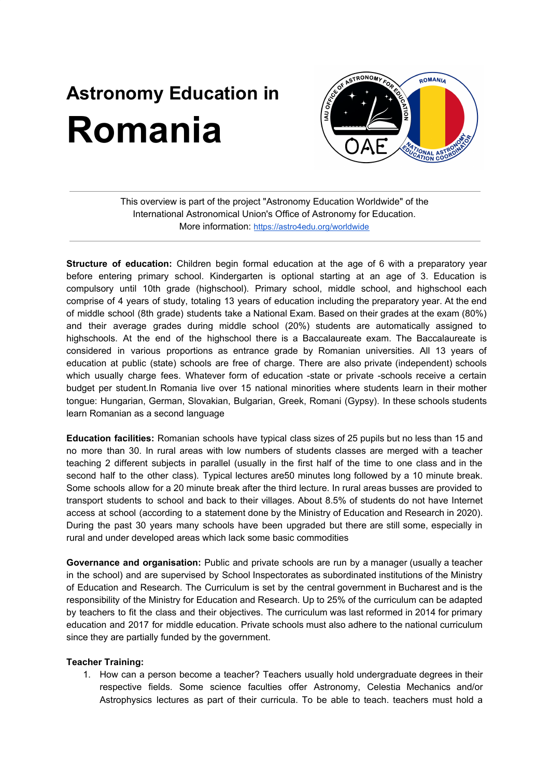## **Astronomy Education in Romania**



This overview is part of the project "Astronomy Education Worldwide" of the International Astronomical Union's Office of Astronomy for Education. More information: <https://astro4edu.org/worldwide>

**Structure of education:** Children begin formal education at the age of 6 with a preparatory year before entering primary school. Kindergarten is optional starting at an age of 3. Education is compulsory until 10th grade (highschool). Primary school, middle school, and highschool each comprise of 4 years of study, totaling 13 years of education including the preparatory year. At the end of middle school (8th grade) students take a National Exam. Based on their grades at the exam (80%) and their average grades during middle school (20%) students are automatically assigned to highschools. At the end of the highschool there is a Baccalaureate exam. The Baccalaureate is considered in various proportions as entrance grade by Romanian universities. All 13 years of education at public (state) schools are free of charge. There are also private (independent) schools which usually charge fees. Whatever form of education -state or private -schools receive a certain budget per student.In Romania live over 15 national minorities where students learn in their mother tongue: Hungarian, German, Slovakian, Bulgarian, Greek, Romani (Gypsy). In these schools students learn Romanian as a second language

**Education facilities:** Romanian schools have typical class sizes of 25 pupils but no less than 15 and no more than 30. In rural areas with low numbers of students classes are merged with a teacher teaching 2 different subjects in parallel (usually in the first half of the time to one class and in the second half to the other class). Typical lectures are50 minutes long followed by a 10 minute break. Some schools allow for a 20 minute break after the third lecture. In rural areas busses are provided to transport students to school and back to their villages. About 8.5% of students do not have Internet access at school (according to a statement done by the Ministry of Education and Research in 2020). During the past 30 years many schools have been upgraded but there are still some, especially in rural and under developed areas which lack some basic commodities

**Governance and organisation:** Public and private schools are run by a manager (usually a teacher in the school) and are supervised by School Inspectorates as subordinated institutions of the Ministry of Education and Research. The Curriculum is set by the central government in Bucharest and is the responsibility of the Ministry for Education and Research. Up to 25% of the curriculum can be adapted by teachers to fit the class and their objectives. The curriculum was last reformed in 2014 for primary education and 2017 for middle education. Private schools must also adhere to the national curriculum since they are partially funded by the government.

## **Teacher Training:**

1. How can a person become a teacher? Teachers usually hold undergraduate degrees in their respective fields. Some science faculties offer Astronomy, Celestia Mechanics and/or Astrophysics lectures as part of their curricula. To be able to teach. teachers must hold a